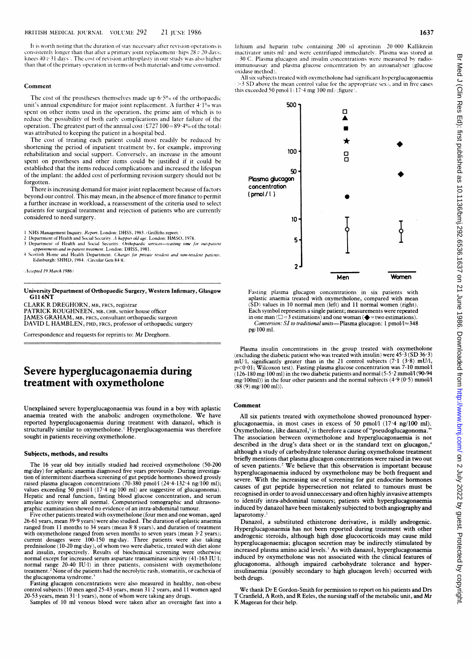It is worth noting that the duration of stay necessary after revision operations is consistently longer than that after a primary joint replacement (hips  $28 \, v \, 20 \, \rm days;$ knees  $40v$  31 days). The cost of revision arthroplasty in our study was also higher than that of the primary operation in terms of both materials and time consumed.

#### Comment

The cost of the prostheses themselves made up 6-5% of the orthopaedic unit's annual expenditure for major joint replacement. A further 4-1% was spent on other items used in the operation, the prime aim of which is to reduce the possibility of both early complications and later failure of the operation. The greatest part of the annual cost (£727 100 = 89.4% of the total) was attributed to keeping the patient in a hospital bed.

The cost of treating each patient could most readily be reduced by shortening the period of inpatient treatment by, for example, improving rehabilitation and social support. Conversely, an increase in the amount spent on prostheses and other items could be justified if it could be established that the items reduced complications and increased the lifespan of the implant: the added cost of performing revision surgery should not be forgotten.

There is increasing demand for major joint replacement because of factors beyond our control. This may mean, in the absence ofmore finance to permit a further increase in workload, a reassessment of the criteria used to select patients for surgical treatment and rejection of patients who are currently considered to need surgery.

1 NHS Management Inquiry. Report. London: DHSS, 1983. (Griffiths report.)<br>2 Department of Health and Social Security. A happier old age. London: HMSO, 1978.

- 3 Department of Health and Social Security. Orthopaedic services—waiting time for out-patient appointments and in-patient treatment. London: DHSS, 1981.
- 4 Scottish Home and Health Department. *Gharges for private resident and non-resident patients.*<br>Edinburgh: SHHD, 1984. (Circular Gen(84)8.)

(Accepted 19 March 1986)

University Department of Orthopaedic Surgery, Western Infirmary, Glasgow GIl 6NT

CLARK R DREGHORN, MB, FRCS, registrar

PATRICK ROUGHNEEN, MB, cHB, senior house officer

JAMES GRAHAM, MB, FRCS, consultant orthopaedic surgeon

DAVID L HAMBLEN, PHD, FRcs, professor of orthopaedic surgery

Correspondence and requests for reprints to: Mr Dreghorn.

## Severe hyperglucagonaemia during treatment with oxymetholone

Unexplained severe hyperglucagonaemia was found in a boy with aplastic anaemia treated with the anabolic androgen oxymetholone. We have reported hyperglucagonaemia during treatment with danazol, which is structurally similar to oxymetholone.<sup>1</sup> Hyperglucagonaemia was therefore sought in patients receiving oxymetholone.

#### Subjects, methods, and results

The 16 year old boy initially studied had received oxymetholone (50-200 mg/day) for aplastic anaemia diagnosed five years previously. During investigation of intermittent diarrhoea screening of gut peptide hormones showed grossly raised plasma glucagon concentrations (70-380 pmol/l (24.4-132.4 ng/100 ml); values exceeding 50 pmol/l (17.4 ng/100 ml) are suggestive of glucagonoma). Hepatic and renal function, fasting blood glucose concentration, and serum<br>amylase activity were all normal. Computerised tomographic and ultrasonographic examination showed no evidence of an intra-abdominal tumour.

Five other patients treated with oxymetholone (four men and one woman, aged 26-61 years, mean 39.9 years) were also studied. The duration of aplastic anaemia ranged from <sup>11</sup> months to 34 years (mean 8-8 years), and duration of treatment with oxymetholone ranged from seven months to seven years (mean 3.2 years); current dosages were 100-150 mg/day. Three patients were also taking prednisolone (10-20 mg/day), of whom two were diabetic, treated with diet alone and insulin, respectively. Results of biochemical screening were otherwise normal except for increased serum aspartate transaminase activity (41-163 IU/l; normal range 20-40 IU/l) in three patients, consistent with oxymetholone treatment.2 None of the patients had the necrolytic rash, stomatitis, or cachexia of the glucagonoma syndrome.}

Fasting glucagon concentrations were also measured in healthy, non-obese control subjects (10 men aged 25-43 years, mean 31.2 years, and 11 women aged 20-53 years, mean 31·1 years), none of whom were taking any drugs.

Samples of 10 ml venous blood were taken after an overnight fast into a

lithium and heparin tube containing 200 (d aprotinin (20 000 Kallikrein inactivator units ml) and were centrifuged immediately. Plasma was stored at -30°C. Plasma glucagon and insulin concentrations were measured by radioimmunoassay and- plasma glucose concentration by an autoanalyser (glucose oxidase method).

All six subjects treated with oxymetholone had significant hyperglucagonaemia (>3 SD above the mean control value for the appropriate sex), and in five cases this exceeded 50 pmol  $1(17.4 \text{ mg}/100 \text{ ml})$  (figure)



Fasting plasma glucagon concentrations in six patients with aplastic anaemia treated with oxymetholone, compared with mean SD) values in 10 normal men (left) and 11 normal women (right). Each symbol represents a single patient; measurements were repeated in one man ( $\square$ =3 estimations) and one woman ( $\blacklozenge$ =two estimations). Conversion: SI to traditional units-Plasma glucagon: 1 pmol/l $\approx$ 348 pg/100 ml.

Plasma insulin concentrations in the group treated with oxymetholone (excluding the diabetic patient who was treated with insulin) were  $45.3$  (SD  $36.3$ ) mU/1, significantly greater than in the 21 control subjects (7-1 (3-8) mUll, p<O-Ol; Wilcoxon test). Fasting plasma glucose concentration was 7-10 mmol/l (126-180 mg/100 ml) in the two diabetic patients andnormal (5-5 2 mmol/l(90-94 mg/100ml)) in the four other patients and the normal subjects  $(4.9 (0.5)$  mmol/l  $(88 (9)$  mg/100 ml)).

#### Comment

All six patients treated with oxymetholone showed pronounced hyperglucagonaemia, in most cases in excess of 50 pmol/l (174 ng/100 ml). Oxymetholone, like danazol,<sup>1</sup> is therefore a cause of "pseudoglucagonoma. The association between oxymetholone and hyperglucagonaemia is not described in the drug's data sheet or in the standard text on glucagon,<sup>4</sup> although a study of carbohydrate tolerance during oxymetholone treatment briefly mentions that plasma glucagon concentrations were raised in two out of seven patients.<sup>2</sup> We believe that this observation is important because hyperglucagonaemia induced by oxymetholone may be both frequent and severe. With the increasing use of screening for gut endocrine hormones causes of gut peptide hypersecretion not related to tumours must be recognised in order to avoid unneccessary and often highly invasive attempts to identify intra-abdominal tumours; patients with hyperglucagonaemia induced by danazol have been mistakenly subjected to both angiography and laparotomy.'

Danazol, a substituted ethisterone derivative, is mildly androgenic. Hyperglucagonaemia has not been reported during treatment with other androgenic steroids, although high dose glucocorticoids may cause mild hyperglucagonaemia; glucagon secretion may be indirectly stimulated by increased plasma amino acid levels.<sup>5</sup> As with danazol, hyperglucagonaemia induced by oxymetholone was not associated with the clinical features of glucagonoma, although impaired carbohydrate tolerance and hyperinsulinaemia (possibly secondary to high glucagon levels) occurred with both drugs.

We thank Dr E Gordon-Smith for permission to report on his patients and Drs T Cranfield, A Roth, and R Eeles, the nursing staff of the metabolic unit, and Mr K Magean for their help.